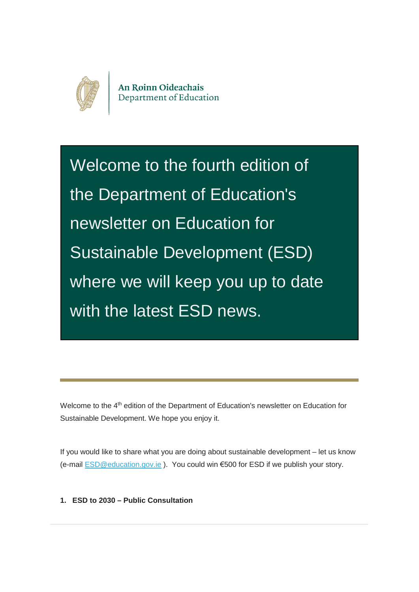

An Roinn Oideachais Department of Education

Welcome to the fourth edition of the Department of Education's newsletter on Education for Sustainable Development (ESD) where we will keep you up to date with the latest ESD news.

Welcome to the 4<sup>th</sup> edition of the Department of Education's newsletter on Education for Sustainable Development. We hope you enjoy it.

If you would like to share what you are doing about sustainable development – let us know (e-mail [ESD@education.gov.ie](mailto:ESD@education.gov.ie) ). You could win €500 for ESD if we publish your story.

**1. ESD to 2030 – Public Consultation**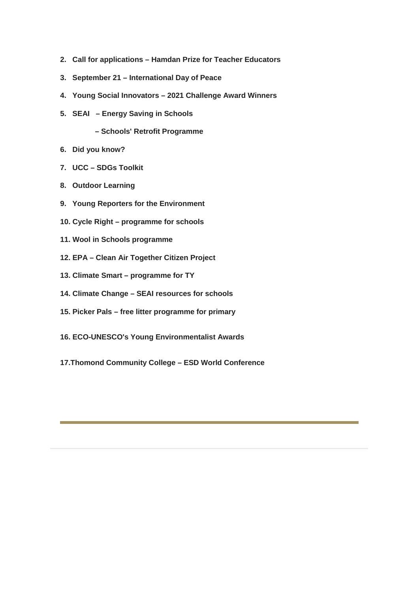- **2. Call for applications – Hamdan Prize for Teacher Educators**
- **3. September 21 International Day of Peace**
- **4. Young Social Innovators 2021 Challenge Award Winners**
- **5. SEAI Energy Saving in Schools**
	- **Schools' Retrofit Programme**
- **6. Did you know?**
- **7. UCC SDGs Toolkit**
- **8. Outdoor Learning**
- **9. Young Reporters for the Environment**
- **10. Cycle Right programme for schools**
- **11. Wool in Schools programme**
- **12. EPA Clean Air Together Citizen Project**
- **13. Climate Smart programme for TY**
- **14. Climate Change SEAI resources for schools**
- **15. Picker Pals free litter programme for primary**
- **16. ECO-UNESCO's Young Environmentalist Awards**
- **17.Thomond Community College ESD World Conference**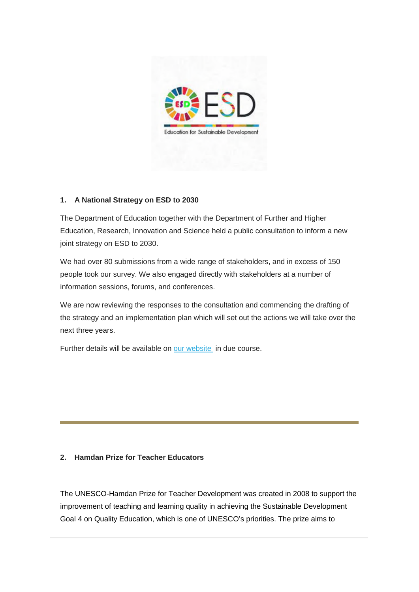

#### **1. A National Strategy on ESD to 2030**

The Department of Education together with the Department of Further and Higher Education, Research, Innovation and Science held a public consultation to inform a new joint strategy on ESD to 2030.

We had over 80 submissions from a wide range of stakeholders, and in excess of 150 people took our survey. We also engaged directly with stakeholders at a number of information sessions, forums, and conferences.

We are now reviewing the responses to the consultation and commencing the drafting of the strategy and an implementation plan which will set out the actions we will take over the next three years.

Further details will be available on [our website](https://education.us2.list-manage.com/track/click?u=18ce7e31f6d7295a5019ca349&id=1dc1f87f25&e=257656c78e) in due course.

#### **2. Hamdan Prize for Teacher Educators**

The UNESCO-Hamdan Prize for Teacher Development was created in 2008 to support the improvement of teaching and learning quality in achieving the Sustainable Development Goal 4 on Quality Education, which is one of UNESCO's priorities. The prize aims to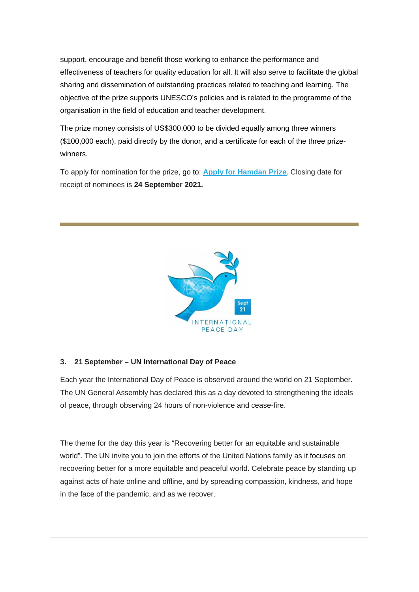support, encourage and benefit those working to enhance the performance and effectiveness of teachers for quality education for all. It will also serve to facilitate the global sharing and dissemination of outstanding practices related to teaching and learning. The objective of the prize supports UNESCO's policies and is related to the programme of the organisation in the field of education and teacher development.

The prize money consists of US\$300,000 to be divided equally among three winners (\$100,000 each), paid directly by the donor, and a certificate for each of the three prizewinners.

To apply for nomination for the prize, go to: **[Apply for Hamdan Prize](https://education.us2.list-manage.com/track/click?u=18ce7e31f6d7295a5019ca349&id=8af20ba333&e=257656c78e)**. Closing date for receipt of nominees is **24 September 2021.** 



#### **3. 21 September – UN International Day of Peace**

Each year the International Day of Peace is observed around the world on 21 September. The UN General Assembly has declared this as a day devoted to strengthening the ideals of peace, through observing 24 hours of non-violence and cease-fire.

The theme for the day this year is "Recovering better for an equitable and sustainable world". The UN invite you to join the efforts of the United Nations family as it focuses on recovering better for a more equitable and peaceful world. Celebrate peace by standing up against acts of hate online and offline, and by spreading compassion, kindness, and hope in the face of the pandemic, and as we recover.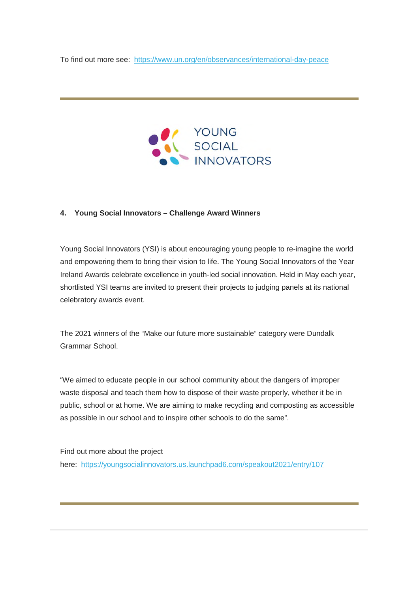To find out more see: [https://www.un.org/en/observances/international-day-peace](https://education.us2.list-manage.com/track/click?u=18ce7e31f6d7295a5019ca349&id=e57e115d5d&e=257656c78e)



#### **4. Young Social Innovators – Challenge Award Winners**

Young Social Innovators (YSI) is about encouraging young people to re-imagine the world and empowering them to bring their vision to life. The Young Social Innovators of the Year Ireland Awards celebrate excellence in youth-led social innovation. Held in May each year, shortlisted YSI teams are invited to present their projects to judging panels at its national celebratory awards event.

The 2021 winners of the "Make our future more sustainable" category were Dundalk Grammar School.

"We aimed to educate people in our school community about the dangers of improper waste disposal and teach them how to dispose of their waste properly, whether it be in public, school or at home. We are aiming to make recycling and composting as accessible as possible in our school and to inspire other schools to do the same".

Find out more about the project here: [https://youngsocialinnovators.us.launchpad6.com/speakout2021/entry/107](https://education.us2.list-manage.com/track/click?u=18ce7e31f6d7295a5019ca349&id=58445a0ad7&e=257656c78e)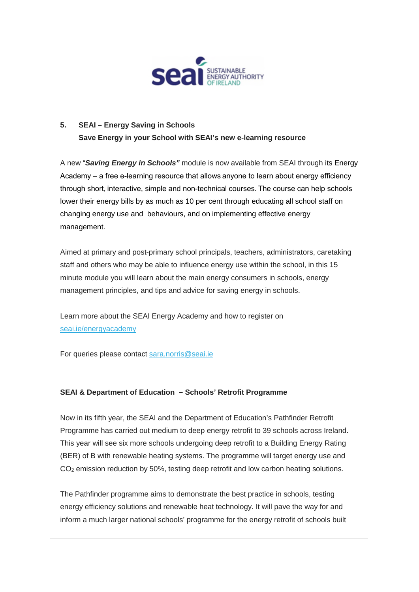

## **5. SEAI – Energy Saving in Schools Save Energy in your School with SEAI's new e-learning resource**

A new "*Saving Energy in Schools"* module is now available from SEAI through its Energy Academy – a free e-learning resource that allows anyone to learn about energy efficiency through short, interactive, simple and non-technical courses. The course can help schools lower their energy bills by as much as 10 per cent through educating all school staff on changing energy use and behaviours, and on implementing effective energy management.

Aimed at primary and post-primary school principals, teachers, administrators, caretaking staff and others who may be able to influence energy use within the school, in this 15 minute module you will learn about the main energy consumers in schools, energy management principles, and tips and advice for saving energy in schools.

Learn more about the SEAI Energy Academy and how to register on [seai.ie/energyacademy](https://education.us2.list-manage.com/track/click?u=18ce7e31f6d7295a5019ca349&id=5bb4e0e0be&e=257656c78e)

For queries please contact [sara.norris@seai.ie](mailto:sara.norris@seai.ie)

#### **SEAI & Department of Education – Schools' Retrofit Programme**

Now in its fifth year, the SEAI and the Department of Education's Pathfinder Retrofit Programme has carried out medium to deep energy retrofit to 39 schools across Ireland. This year will see six more schools undergoing deep retrofit to a Building Energy Rating (BER) of B with renewable heating systems. The programme will target energy use and CO<sub>2</sub> emission reduction by 50%, testing deep retrofit and low carbon heating solutions.

The Pathfinder programme aims to demonstrate the best practice in schools, testing energy efficiency solutions and renewable heat technology. It will pave the way for and inform a much larger national schools' programme for the energy retrofit of schools built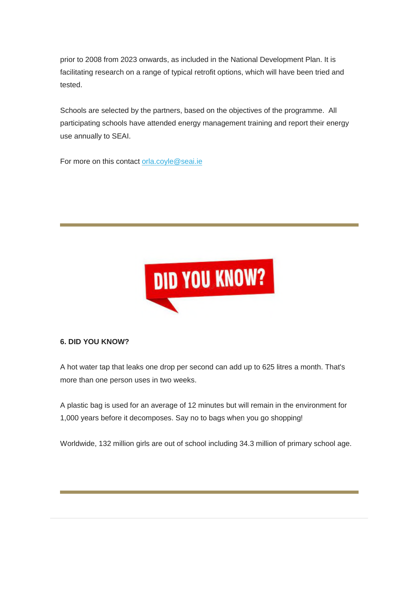prior to 2008 from 2023 onwards, as included in the National Development Plan. It is facilitating research on a range of typical retrofit options, which will have been tried and tested.

Schools are selected by the partners, based on the objectives of the programme. All participating schools have attended energy management training and report their energy use annually to SEAI.

For more on this contact [orla.coyle@seai.ie](mailto:orla.coyle@seai.ie)



#### **6. DID YOU KNOW?**

A hot water tap that leaks one drop per second can add up to 625 litres a month. That's more than one person uses in two weeks.

A plastic bag is used for an average of 12 minutes but will remain in the environment for 1,000 years before it decomposes. Say no to bags when you go shopping!

Worldwide, 132 million girls are out of school including 34.3 million of primary school age.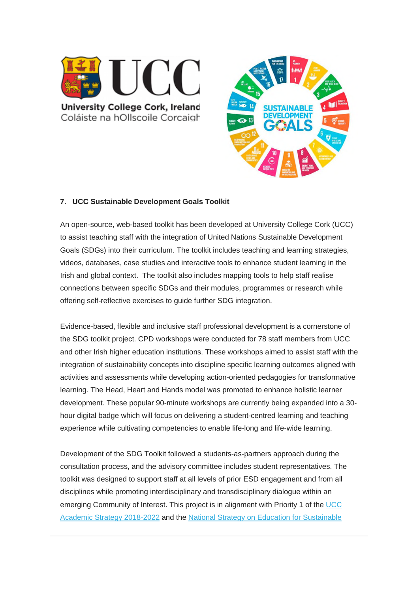

**University College Cork, Ireland** Coláiste na hOllscoile Corcaigh



#### **7. UCC Sustainable Development Goals Toolkit**

An open-source, web-based toolkit has been developed at University College Cork (UCC) to assist teaching staff with the integration of United Nations Sustainable Development Goals (SDGs) into their curriculum. The toolkit includes teaching and learning strategies, videos, databases, case studies and interactive tools to enhance student learning in the Irish and global context. The toolkit also includes mapping tools to help staff realise connections between specific SDGs and their modules, programmes or research while offering self-reflective exercises to guide further SDG integration.

Evidence-based, flexible and inclusive staff professional development is a cornerstone of the SDG toolkit project. CPD workshops were conducted for 78 staff members from UCC and other Irish higher education institutions. These workshops aimed to assist staff with the integration of sustainability concepts into discipline specific learning outcomes aligned with activities and assessments while developing action-oriented pedagogies for transformative learning. The Head, Heart and Hands model was promoted to enhance holistic learner development. These popular 90-minute workshops are currently being expanded into a 30 hour digital badge which will focus on delivering a student-centred learning and teaching experience while cultivating competencies to enable life-long and life-wide learning.

Development of the SDG Toolkit followed a students-as-partners approach during the consultation process, and the advisory committee includes student representatives. The toolkit was designed to support staff at all levels of prior ESD engagement and from all disciplines while promoting interdisciplinary and transdisciplinary dialogue within an emerging Community of Interest. This project is in alignment with Priority 1 of the [UCC](https://education.us2.list-manage.com/track/click?u=18ce7e31f6d7295a5019ca349&id=ea9a2c7ada&e=257656c78e)  [Academic Strategy 2018-2022](https://education.us2.list-manage.com/track/click?u=18ce7e31f6d7295a5019ca349&id=ea9a2c7ada&e=257656c78e) and the [National Strategy on Education for Sustainable](https://education.us2.list-manage.com/track/click?u=18ce7e31f6d7295a5019ca349&id=138ebe986f&e=257656c78e)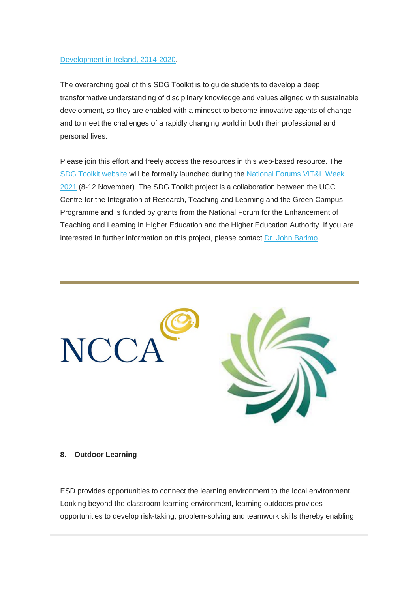#### [Development in Ireland, 2014-2020.](https://education.us2.list-manage.com/track/click?u=18ce7e31f6d7295a5019ca349&id=138ebe986f&e=257656c78e)

The overarching goal of this SDG Toolkit is to guide students to develop a deep transformative understanding of disciplinary knowledge and values aligned with sustainable development, so they are enabled with a mindset to become innovative agents of change and to meet the challenges of a rapidly changing world in both their professional and personal lives.

Please join this effort and freely access the resources in this web-based resource. The [SDG Toolkit website](https://education.us2.list-manage.com/track/click?u=18ce7e31f6d7295a5019ca349&id=1d86baa759&e=257656c78e) will be formally launched during the [National Forums VIT&L Week](https://education.us2.list-manage.com/track/click?u=18ce7e31f6d7295a5019ca349&id=25720edbfd&e=257656c78e)  [2021](https://education.us2.list-manage.com/track/click?u=18ce7e31f6d7295a5019ca349&id=25720edbfd&e=257656c78e) (8-12 November). The SDG Toolkit project is a collaboration between the UCC Centre for the Integration of Research, Teaching and Learning and the Green Campus Programme and is funded by grants from the National Forum for the Enhancement of Teaching and Learning in Higher Education and the Higher Education Authority. If you are interested in further information on this project, please contact [Dr. John Barimo.](mailto:john.barimo@ucc.ie)



#### **8. Outdoor Learning**

ESD provides opportunities to connect the learning environment to the local environment. Looking beyond the classroom learning environment, learning outdoors provides opportunities to develop risk-taking, problem-solving and teamwork skills thereby enabling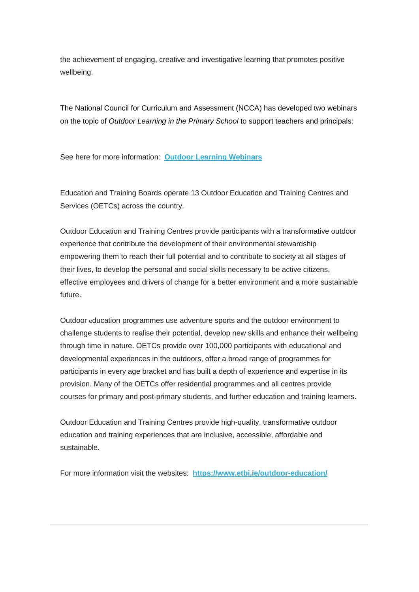the achievement of engaging, creative and investigative learning that promotes positive wellbeing.

The National Council for Curriculum and Assessment (NCCA) has developed two webinars on the topic of *Outdoor Learning in the Primary School* to support teachers and principals:

See here for more information: **[Outdoor Learning Webinars](https://education.us2.list-manage.com/track/click?u=18ce7e31f6d7295a5019ca349&id=63321f1147&e=257656c78e)**

Education and Training Boards operate 13 Outdoor Education and Training Centres and Services (OETCs) across the country.

Outdoor Education and Training Centres provide participants with a transformative outdoor experience that contribute the development of their environmental stewardship empowering them to reach their full potential and to contribute to society at all stages of their lives, to develop the personal and social skills necessary to be active citizens, effective employees and drivers of change for a better environment and a more sustainable future.

Outdoor education programmes use adventure sports and the outdoor environment to challenge students to realise their potential, develop new skills and enhance their wellbeing through time in nature. OETCs provide over 100,000 participants with educational and developmental experiences in the outdoors, offer a broad range of programmes for participants in every age bracket and has built a depth of experience and expertise in its provision. Many of the OETCs offer residential programmes and all centres provide courses for primary and post-primary students, and further education and training learners.

Outdoor Education and Training Centres provide high-quality, transformative outdoor education and training experiences that are inclusive, accessible, affordable and sustainable.

For more information visit the websites: **[https://www.etbi.ie/outdoor-education/](https://education.us2.list-manage.com/track/click?u=18ce7e31f6d7295a5019ca349&id=7546d1c3cb&e=257656c78e)**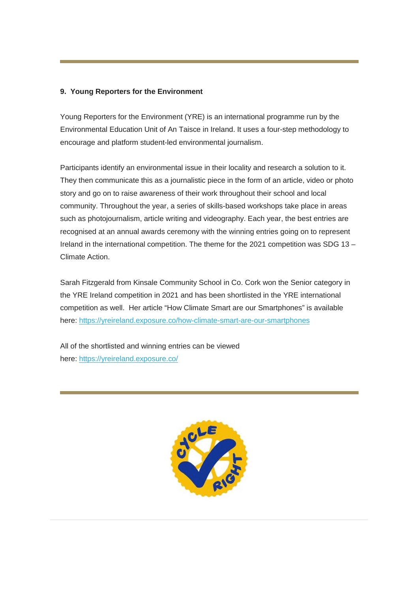#### **9. Young Reporters for the Environment**

Young Reporters for the Environment (YRE) is an international programme run by the Environmental Education Unit of An Taisce in Ireland. It uses a four-step methodology to encourage and platform student-led environmental journalism.

Participants identify an environmental issue in their locality and research a solution to it. They then communicate this as a journalistic piece in the form of an article, video or photo story and go on to raise awareness of their work throughout their school and local community. Throughout the year, a series of skills-based workshops take place in areas such as photojournalism, article writing and videography. Each year, the best entries are recognised at an annual awards ceremony with the winning entries going on to represent Ireland in the international competition. The theme for the 2021 competition was SDG 13 – Climate Action.

Sarah Fitzgerald from Kinsale Community School in Co. Cork won the Senior category in the YRE Ireland competition in 2021 and has been shortlisted in the YRE international competition as well. Her article "How Climate Smart are our Smartphones" is available here: [https://yreireland.exposure.co/how-climate-smart-are-our-smartphones](https://education.us2.list-manage.com/track/click?u=18ce7e31f6d7295a5019ca349&id=f9d4442955&e=257656c78e)

All of the shortlisted and winning entries can be viewed here: [https://yreireland.exposure.co/](https://education.us2.list-manage.com/track/click?u=18ce7e31f6d7295a5019ca349&id=197b3c4220&e=257656c78e)

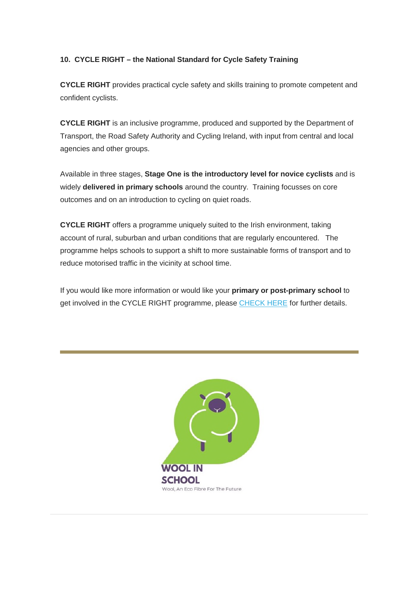### **10. CYCLE RIGHT – the National Standard for Cycle Safety Training**

**CYCLE RIGHT** provides practical cycle safety and skills training to promote competent and confident cyclists.

**CYCLE RIGHT** is an inclusive programme, produced and supported by the Department of Transport, the Road Safety Authority and Cycling Ireland, with input from central and local agencies and other groups.

Available in three stages, **Stage One is the introductory level for novice cyclists** and is widely **delivered in primary schools** around the country. Training focusses on core outcomes and on an introduction to cycling on quiet roads.

**CYCLE RIGHT** offers a programme uniquely suited to the Irish environment, taking account of rural, suburban and urban conditions that are regularly encountered. The programme helps schools to support a shift to more sustainable forms of transport and to reduce motorised traffic in the vicinity at school time.

If you would like more information or would like your **primary or post-primary school** to get involved in the CYCLE RIGHT programme, please [CHECK HERE](https://education.us2.list-manage.com/track/click?u=18ce7e31f6d7295a5019ca349&id=f26ef474d9&e=257656c78e) for further details.

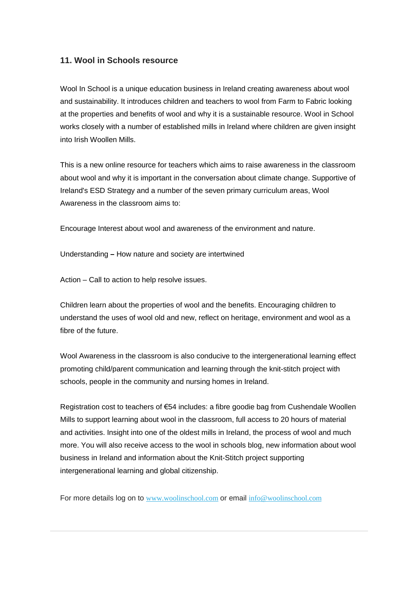#### **11. Wool in Schools resource**

Wool In School is a unique education business in Ireland creating awareness about wool and sustainability. It introduces children and teachers to wool from Farm to Fabric looking at the properties and benefits of wool and why it is a sustainable resource. Wool in School works closely with a number of established mills in Ireland where children are given insight into Irish Woollen Mills.

This is a new online resource for teachers which aims to raise awareness in the classroom about wool and why it is important in the conversation about climate change. Supportive of Ireland's ESD Strategy and a number of the seven primary curriculum areas, Wool Awareness in the classroom aims to:

Encourage Interest about wool and awareness of the environment and nature.

Understanding **–** How nature and society are intertwined

Action – Call to action to help resolve issues.

Children learn about the properties of wool and the benefits. Encouraging children to understand the uses of wool old and new, reflect on heritage, environment and wool as a fibre of the future.

Wool Awareness in the classroom is also conducive to the intergenerational learning effect promoting child/parent communication and learning through the knit-stitch project with schools, people in the community and nursing homes in Ireland.

Registration cost to teachers of €54 includes: a fibre goodie bag from Cushendale Woollen Mills to support learning about wool in the classroom, full access to 20 hours of material and activities. Insight into one of the oldest mills in Ireland, the process of wool and much more. You will also receive access to the wool in schools blog, new information about wool business in Ireland and information about the Knit-Stitch project supporting intergenerational learning and global citizenship.

For more details log on to [www.woolinschool.com](https://education.us2.list-manage.com/track/click?u=18ce7e31f6d7295a5019ca349&id=df0d16a1d4&e=257656c78e) or email [info@woolinschool.com](mailto:info@woolinschool.com)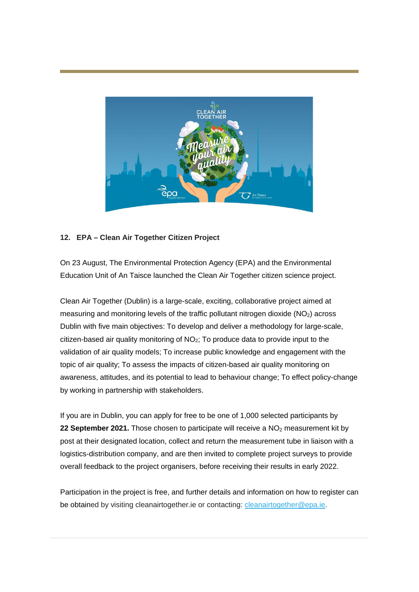

#### **12. EPA – Clean Air Together Citizen Project**

On 23 August, The Environmental Protection Agency (EPA) and the Environmental Education Unit of An Taisce launched the Clean Air Together citizen science project.

Clean Air Together (Dublin) is a large-scale, exciting, collaborative project aimed at measuring and monitoring levels of the traffic pollutant nitrogen dioxide  $(NO<sub>2</sub>)$  across Dublin with five main objectives: To develop and deliver a methodology for large-scale, citizen-based air quality monitoring of  $NO<sub>2</sub>$ ; To produce data to provide input to the validation of air quality models; To increase public knowledge and engagement with the topic of air quality; To assess the impacts of citizen-based air quality monitoring on awareness, attitudes, and its potential to lead to behaviour change; To effect policy-change by working in partnership with stakeholders.

If you are in Dublin, you can apply for free to be one of 1,000 selected participants by **22 September 2021.** Those chosen to participate will receive a NO<sub>2</sub> measurement kit by post at their designated location, collect and return the measurement tube in liaison with a logistics-distribution company, and are then invited to complete project surveys to provide overall feedback to the project organisers, before receiving their results in early 2022.

Participation in the project is free, and further details and information on how to register can be obtained by visiting cleanairtogether.ie or contacting: [cleanairtogether@epa.ie.](mailto:cleanairtogether@epa.ie)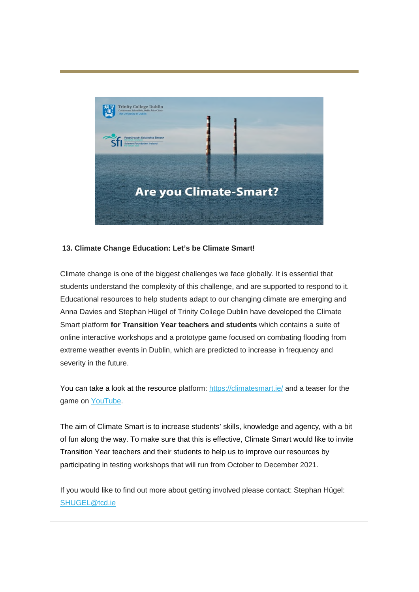

### **13. Climate Change Education: Let's be Climate Smart!**

Climate change is one of the biggest challenges we face globally. It is essential that students understand the complexity of this challenge, and are supported to respond to it. Educational resources to help students adapt to our changing climate are emerging and Anna Davies and Stephan Hügel of Trinity College Dublin have developed the Climate Smart platform **for Transition Year teachers and students** which contains a suite of online interactive workshops and a prototype game focused on combating flooding from extreme weather events in Dublin, which are predicted to increase in frequency and severity in the future.

You can take a look at the resource platform: [https://climatesmart.ie/](https://education.us2.list-manage.com/track/click?u=18ce7e31f6d7295a5019ca349&id=60ffd808ec&e=257656c78e) and a teaser for the game on [YouTube.](https://education.us2.list-manage.com/track/click?u=18ce7e31f6d7295a5019ca349&id=6ef2147a00&e=257656c78e)

The aim of Climate Smart is to increase students' skills, knowledge and agency, with a bit of fun along the way. To make sure that this is effective, Climate Smart would like to invite Transition Year teachers and their students to help us to improve our resources by participating in testing workshops that will run from October to December 2021.

If you would like to find out more about getting involved please contact: Stephan Hügel: [SHUGEL@tcd.ie](mailto:SHUGEL@tcd.ie)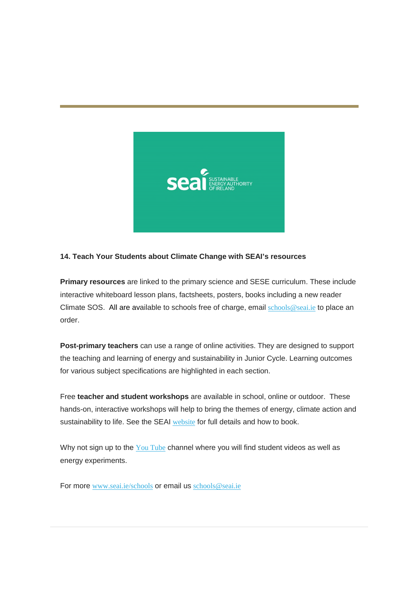

#### **14. Teach Your Students about Climate Change with SEAI's resources**

**Primary resources** are linked to the primary science and SESE curriculum. These include interactive whiteboard lesson plans, factsheets, posters, books including a new reader Climate SOS. All are available to schools free of charge, email [schools@seai.ie](mailto:schools@seai.ie) to place an order.

**Post-primary teachers** can use a range of online activities. They are designed to support the teaching and learning of energy and sustainability in Junior Cycle. Learning outcomes for various subject specifications are highlighted in each section.

Free **teacher and student workshops** are available in school, online or outdoor. These hands-on, interactive workshops will help to bring the themes of energy, climate action and sustainability to life. See the SEAI [website](https://education.us2.list-manage.com/track/click?u=18ce7e31f6d7295a5019ca349&id=2ad84cb676&e=257656c78e) for full details and how to book.

Why not sign up to the  $You$  Tube channel where you will find student videos as well as energy experiments.

For more [www.seai.ie/schools](https://education.us2.list-manage.com/track/click?u=18ce7e31f6d7295a5019ca349&id=e7c8849980&e=257656c78e) or email us [schools@seai.ie](mailto:schools@seai.ie)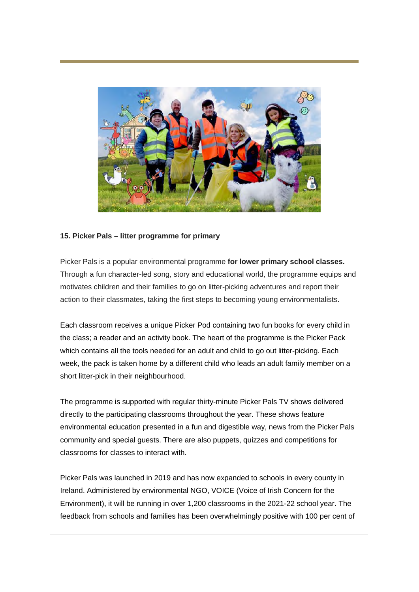

#### **15. Picker Pals – litter programme for primary**

Picker Pals is a popular environmental programme **for lower primary school classes.** Through a fun character-led song, story and educational world, the programme equips and motivates children and their families to go on litter-picking adventures and report their action to their classmates, taking the first steps to becoming young environmentalists.

Each classroom receives a unique Picker Pod containing two fun books for every child in the class; a reader and an activity book. The heart of the programme is the Picker Pack which contains all the tools needed for an adult and child to go out litter-picking. Each week, the pack is taken home by a different child who leads an adult family member on a short litter-pick in their neighbourhood.

The programme is supported with regular thirty-minute Picker Pals TV shows delivered directly to the participating classrooms throughout the year. These shows feature environmental education presented in a fun and digestible way, news from the Picker Pals community and special guests. There are also puppets, quizzes and competitions for classrooms for classes to interact with.

Picker Pals was launched in 2019 and has now expanded to schools in every county in Ireland. Administered by environmental NGO, VOICE (Voice of Irish Concern for the Environment), it will be running in over 1,200 classrooms in the 2021-22 school year. The feedback from schools and families has been overwhelmingly positive with 100 per cent of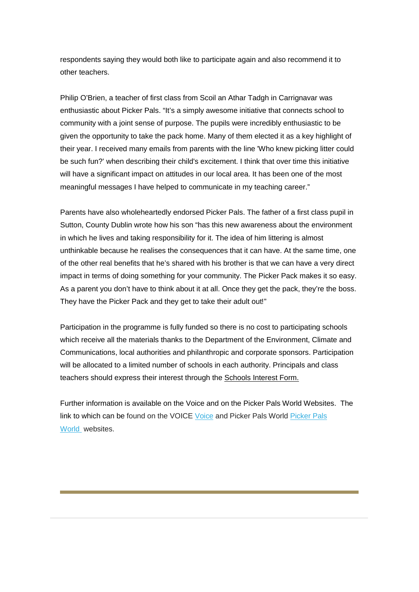respondents saying they would both like to participate again and also recommend it to other teachers.

Philip O'Brien, a teacher of first class from Scoil an Athar Tadgh in Carrignavar was enthusiastic about Picker Pals. "It's a simply awesome initiative that connects school to community with a joint sense of purpose. The pupils were incredibly enthusiastic to be given the opportunity to take the pack home. Many of them elected it as a key highlight of their year. I received many emails from parents with the line 'Who knew picking litter could be such fun?' when describing their child's excitement. I think that over time this initiative will have a significant impact on attitudes in our local area. It has been one of the most meaningful messages I have helped to communicate in my teaching career."

Parents have also wholeheartedly endorsed Picker Pals. The father of a first class pupil in Sutton, County Dublin wrote how his son "has this new awareness about the environment in which he lives and taking responsibility for it. The idea of him littering is almost unthinkable because he realises the consequences that it can have. At the same time, one of the other real benefits that he's shared with his brother is that we can have a very direct impact in terms of doing something for your community. The Picker Pack makes it so easy. As a parent you don't have to think about it at all. Once they get the pack, they're the boss. They have the Picker Pack and they get to take their adult out!"

Participation in the programme is fully funded so there is no cost to participating schools which receive all the materials thanks to the Department of the Environment, Climate and Communications, local authorities and philanthropic and corporate sponsors. Participation will be allocated to a limited number of schools in each authority. Principals and class teachers should express their interest through the [Schools Interest Form.](https://education.us2.list-manage.com/track/click?u=18ce7e31f6d7295a5019ca349&id=64986388fe&e=257656c78e)

Further information is available on the Voice and on the Picker Pals World Websites. The link to which can be found on the VOICE [Voice](https://education.us2.list-manage.com/track/click?u=18ce7e31f6d7295a5019ca349&id=5f088403d6&e=257656c78e) and Picker Pals World [Picker Pals](https://education.us2.list-manage.com/track/click?u=18ce7e31f6d7295a5019ca349&id=6ee4b8e402&e=257656c78e)  [World](https://education.us2.list-manage.com/track/click?u=18ce7e31f6d7295a5019ca349&id=6ee4b8e402&e=257656c78e) websites.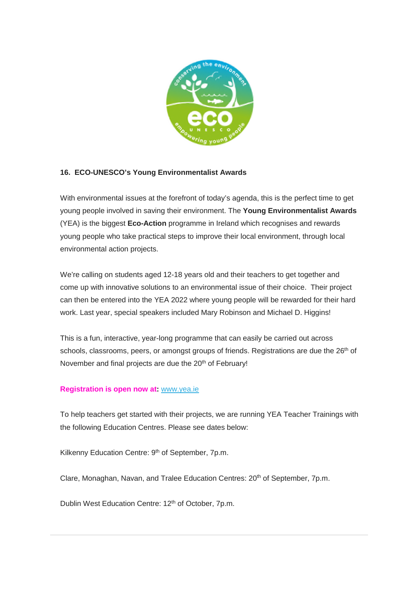

### **16. ECO-UNESCO's Young Environmentalist Awards**

With environmental issues at the forefront of today's agenda, this is the perfect time to get young people involved in saving their environment. The **Young Environmentalist Awards** (YEA) is the biggest **Eco-Action** programme in Ireland which recognises and rewards young people who take practical steps to improve their local environment, through local environmental action projects.

We're calling on students aged 12-18 years old and their teachers to get together and come up with innovative solutions to an environmental issue of their choice. Their project can then be entered into the YEA 2022 where young people will be rewarded for their hard work. Last year, special speakers included Mary Robinson and Michael D. Higgins!

This is a fun, interactive, year-long programme that can easily be carried out across schools, classrooms, peers, or amongst groups of friends. Registrations are due the 26<sup>th</sup> of November and final projects are due the 20<sup>th</sup> of February!

#### **Registration is open now at:** [www.yea.ie](https://education.us2.list-manage.com/track/click?u=18ce7e31f6d7295a5019ca349&id=1a86596fe8&e=257656c78e)

To help teachers get started with their projects, we are running YEA Teacher Trainings with the following Education Centres. Please see dates below:

Kilkenny Education Centre: 9<sup>th</sup> of September, 7p.m.

Clare, Monaghan, Navan, and Tralee Education Centres: 20<sup>th</sup> of September, 7p.m.

Dublin West Education Centre: 12<sup>th</sup> of October, 7p.m.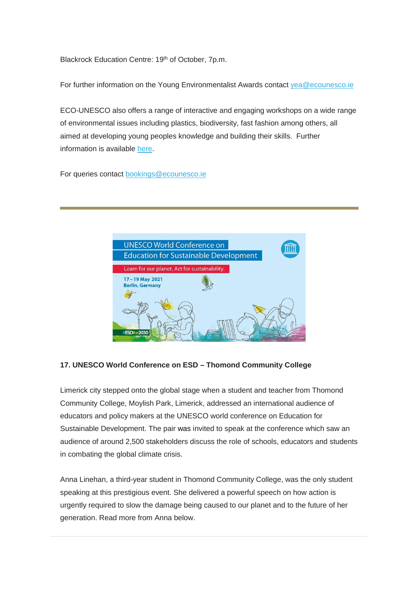Blackrock Education Centre: 19<sup>th</sup> of October, 7p.m.

For further information on the Young Environmentalist Awards contact [yea@ecounesco.ie](mailto:yea@ecounesco.ie)

ECO-UNESCO also offers a range of interactive and engaging workshops on a wide range of environmental issues including plastics, biodiversity, fast fashion among others, all aimed at developing young peoples knowledge and building their skills. Further information is available [here.](https://education.us2.list-manage.com/track/click?u=18ce7e31f6d7295a5019ca349&id=8cb055a5f0&e=257656c78e)

For queries contact [bookings@ecounesco.ie](mailto:bookings@ecounesco.ie)



#### **17. UNESCO World Conference on ESD – Thomond Community College**

Limerick city stepped onto the global stage when a student and teacher from Thomond Community College, Moylish Park, Limerick, addressed an international audience of educators and policy makers at the UNESCO world conference on Education for Sustainable Development. The pair was invited to speak at the conference which saw an audience of around 2,500 stakeholders discuss the role of schools, educators and students in combating the global climate crisis.

Anna Linehan, a third-year student in Thomond Community College, was the only student speaking at this prestigious event. She delivered a powerful speech on how action is urgently required to slow the damage being caused to our planet and to the future of her generation. Read more from Anna below.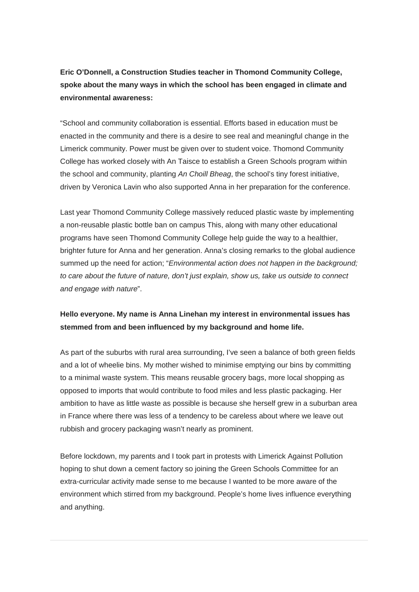**Eric O'Donnell, a Construction Studies teacher in Thomond Community College, spoke about the many ways in which the school has been engaged in climate and environmental awareness:**

"School and community collaboration is essential. Efforts based in education must be enacted in the community and there is a desire to see real and meaningful change in the Limerick community. Power must be given over to student voice. Thomond Community College has worked closely with An Taisce to establish a Green Schools program within the school and community, planting *An Choill Bheag*, the school's tiny forest initiative, driven by Veronica Lavin who also supported Anna in her preparation for the conference.

Last year Thomond Community College massively reduced plastic waste by implementing a non-reusable plastic bottle ban on campus This, along with many other educational programs have seen Thomond Community College help guide the way to a healthier, brighter future for Anna and her generation. Anna's closing remarks to the global audience summed up the need for action; "*Environmental action does not happen in the background; to care about the future of nature, don't just explain, show us, take us outside to connect and engage with nature*".

## **Hello everyone. My name is Anna Linehan my interest in environmental issues has stemmed from and been influenced by my background and home life.**

As part of the suburbs with rural area surrounding, I've seen a balance of both green fields and a lot of wheelie bins. My mother wished to minimise emptying our bins by committing to a minimal waste system. This means reusable grocery bags, more local shopping as opposed to imports that would contribute to food miles and less plastic packaging. Her ambition to have as little waste as possible is because she herself grew in a suburban area in France where there was less of a tendency to be careless about where we leave out rubbish and grocery packaging wasn't nearly as prominent.

Before lockdown, my parents and I took part in protests with Limerick Against Pollution hoping to shut down a cement factory so joining the Green Schools Committee for an extra-curricular activity made sense to me because I wanted to be more aware of the environment which stirred from my background. People's home lives influence everything and anything.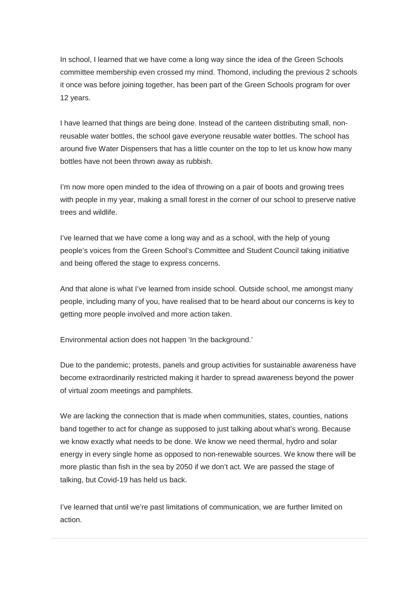In school, I learned that we have come a long way since the idea of the Green Schools committee membership even crossed my mind. Thomond, including the previous 2 schools it once was before joining together, has been part of the Green Schools program for over 12 years.

I have learned that things are being done. Instead of the canteen distributing small, nonreusable water bottles, the school gave everyone reusable water bottles. The school has around five Water Dispensers that has a little counter on the top to let us know how many bottles have not been thrown away as rubbish.

I'm now more open minded to the idea of throwing on a pair of boots and growing trees with people in my year, making a small forest in the corner of our school to preserve native trees and wildlife.

I've learned that we have come a long way and as a school, with the help of young people's voices from the Green School's Committee and Student Council taking initiative and being offered the stage to express concerns.

And that alone is what I've learned from inside school. Outside school, me amongst many people, including many of you, have realised that to be heard about our concerns is key to getting more people involved and more action taken.

Environmental action does not happen 'In the background.'

Due to the pandemic; protests, panels and group activities for sustainable awareness have become extraordinarily restricted making it harder to spread awareness beyond the power of virtual zoom meetings and pamphlets.

We are lacking the connection that is made when communities, states, counties, nations band together to act for change as supposed to just talking about what's wrong. Because we know exactly what needs to be done. We know we need thermal, hydro and solar energy in every single home as opposed to non-renewable sources. We know there will be more plastic than fish in the sea by 2050 if we don't act. We are passed the stage of talking, but Covid-19 has held us back.

I've learned that until we're past limitations of communication, we are further limited on action.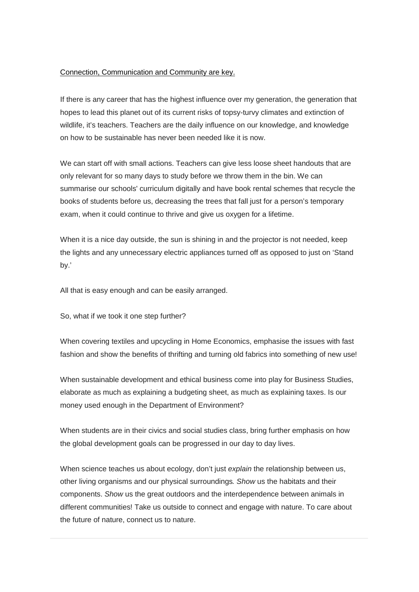#### Connection, Communication and Community are key.

If there is any career that has the highest influence over my generation, the generation that hopes to lead this planet out of its current risks of topsy-turvy climates and extinction of wildlife, it's teachers. Teachers are the daily influence on our knowledge, and knowledge on how to be sustainable has never been needed like it is now.

We can start off with small actions. Teachers can give less loose sheet handouts that are only relevant for so many days to study before we throw them in the bin. We can summarise our schools' curriculum digitally and have book rental schemes that recycle the books of students before us, decreasing the trees that fall just for a person's temporary exam, when it could continue to thrive and give us oxygen for a lifetime.

When it is a nice day outside, the sun is shining in and the projector is not needed, keep the lights and any unnecessary electric appliances turned off as opposed to just on 'Stand by.'

All that is easy enough and can be easily arranged.

So, what if we took it one step further?

When covering textiles and upcycling in Home Economics, emphasise the issues with fast fashion and show the benefits of thrifting and turning old fabrics into something of new use!

When sustainable development and ethical business come into play for Business Studies, elaborate as much as explaining a budgeting sheet, as much as explaining taxes. Is our money used enough in the Department of Environment?

When students are in their civics and social studies class, bring further emphasis on how the global development goals can be progressed in our day to day lives.

When science teaches us about ecology, don't just *explain* the relationship between us, other living organisms and our physical surroundings*. Show* us the habitats and their components. *Show* us the great outdoors and the interdependence between animals in different communities! Take us outside to connect and engage with nature. To care about the future of nature, connect us to nature.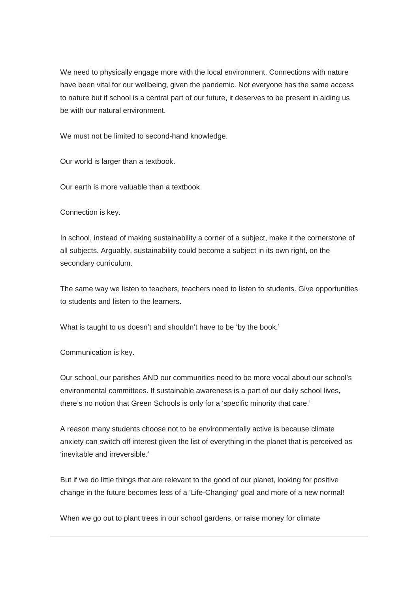We need to physically engage more with the local environment. Connections with nature have been vital for our wellbeing, given the pandemic. Not everyone has the same access to nature but if school is a central part of our future, it deserves to be present in aiding us be with our natural environment.

We must not be limited to second-hand knowledge.

Our world is larger than a textbook.

Our earth is more valuable than a textbook.

Connection is key.

In school, instead of making sustainability a corner of a subject, make it the cornerstone of all subjects. Arguably, sustainability could become a subject in its own right, on the secondary curriculum.

The same way we listen to teachers, teachers need to listen to students. Give opportunities to students and listen to the learners.

What is taught to us doesn't and shouldn't have to be 'by the book.'

Communication is key.

Our school, our parishes AND our communities need to be more vocal about our school's environmental committees. If sustainable awareness is a part of our daily school lives, there's no notion that Green Schools is only for a 'specific minority that care.'

A reason many students choose not to be environmentally active is because climate anxiety can switch off interest given the list of everything in the planet that is perceived as 'inevitable and irreversible.'

But if we do little things that are relevant to the good of our planet, looking for positive change in the future becomes less of a 'Life-Changing' goal and more of a new normal!

When we go out to plant trees in our school gardens, or raise money for climate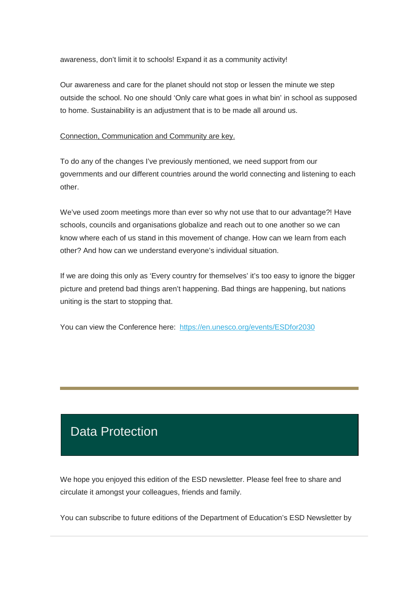awareness, don't limit it to schools! Expand it as a community activity!

Our awareness and care for the planet should not stop or lessen the minute we step outside the school. No one should 'Only care what goes in what bin' in school as supposed to home. Sustainability is an adjustment that is to be made all around us.

Connection, Communication and Community are key.

To do any of the changes I've previously mentioned, we need support from our governments and our different countries around the world connecting and listening to each other.

We've used zoom meetings more than ever so why not use that to our advantage?! Have schools, councils and organisations globalize and reach out to one another so we can know where each of us stand in this movement of change. How can we learn from each other? And how can we understand everyone's individual situation.

If we are doing this only as 'Every country for themselves' it's too easy to ignore the bigger picture and pretend bad things aren't happening. Bad things are happening, but nations uniting is the start to stopping that.

You can view the Conference here: [https://en.unesco.org/events/ESDfor2030](https://education.us2.list-manage.com/track/click?u=18ce7e31f6d7295a5019ca349&id=cf994d1bc6&e=257656c78e)

# Data Protection

We hope you enjoyed this edition of the ESD newsletter. Please feel free to share and circulate it amongst your colleagues, friends and family.

You can subscribe to future editions of the Department of Education's ESD Newsletter by